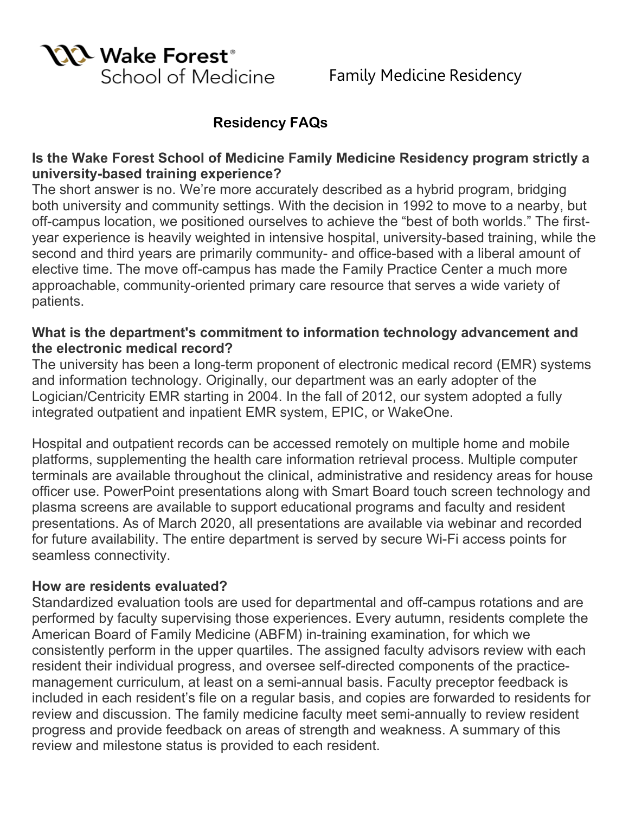

# **Residency FAQs**

# **Is the Wake Forest School of Medicine Family Medicine Residency program strictly a university-based training experience?**

The short answer is no. We're more accurately described as a hybrid program, bridging both university and community settings. With the decision in 1992 to move to a nearby, but off-campus location, we positioned ourselves to achieve the "best of both worlds." The firstyear experience is heavily weighted in intensive hospital, university-based training, while the second and third years are primarily community- and office-based with a liberal amount of elective time. The move off-campus has made the Family Practice Center a much more approachable, community-oriented primary care resource that serves a wide variety of patients.

# **What is the department's commitment to information technology advancement and the electronic medical record?**

The university has been a long-term proponent of electronic medical record (EMR) systems and information technology. Originally, our department was an early adopter of the Logician/Centricity EMR starting in 2004. In the fall of 2012, our system adopted a fully integrated outpatient and inpatient EMR system, EPIC, or WakeOne.

Hospital and outpatient records can be accessed remotely on multiple home and mobile platforms, supplementing the health care information retrieval process. Multiple computer terminals are available throughout the clinical, administrative and residency areas for house officer use. PowerPoint presentations along with Smart Board touch screen technology and plasma screens are available to support educational programs and faculty and resident presentations. As of March 2020, all presentations are available via webinar and recorded for future availability. The entire department is served by secure Wi-Fi access points for seamless connectivity.

#### **How are residents evaluated?**

Standardized evaluation tools are used for departmental and off-campus rotations and are performed by faculty supervising those experiences. Every autumn, residents complete the American Board of Family Medicine (ABFM) in-training examination, for which we consistently perform in the upper quartiles. The assigned faculty advisors review with each resident their individual progress, and oversee self-directed components of the practicemanagement curriculum, at least on a semi-annual basis. Faculty preceptor feedback is included in each resident's file on a regular basis, and copies are forwarded to residents for review and discussion. The family medicine faculty meet semi-annually to review resident progress and provide feedback on areas of strength and weakness. A summary of this review and milestone status is provided to each resident.